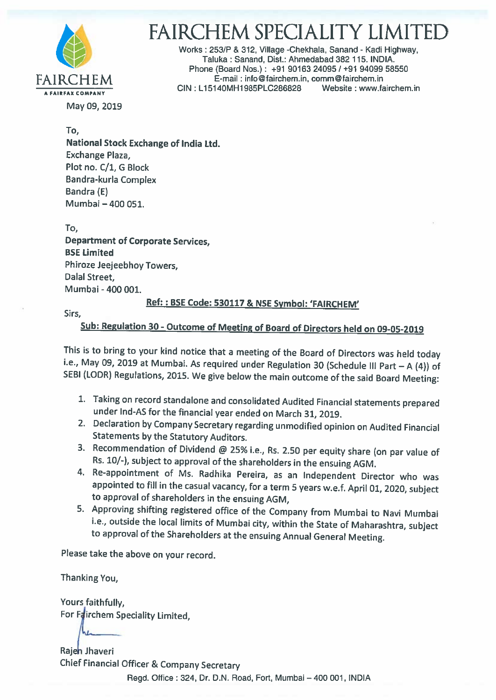

# FAIRCHEM SPECIALITY LIMITED

Works :253/P & 312, Village -Chekhala, Sanand - Kadi Highway, Taluka : Sanand, Dist.: Ahmedabad 382 115. INDIA. Phone (Board Nos.): +91 90163 24095 / +91 94099 58550 FAIRCHEM E-mail : info@fairchem.in, comm@fairchem.in<br>CIN : L15140MH1985PLC286828 Website : www.fairchem.in

May 09, 2019

To, National Stock Exchange of India Ltd. Exchange Plaza, Plot no. C/1, G Block Bandra-kurla Complex Bandra (E) Mumbai - 400 051.

To, Department of Corporate Services, BSE Limited Phiroze Jeejeebhoy Towers, Dalal Street, Mumbai - 400 001.

### Ref: : BSE Code: <sup>530117</sup> & NSE Symbol: 'FAIRCHEM'

Sirs,

## Sub: Regulation 30- Outcome of Meeting of Board of Directors held on 09-05-2019

This is to bring to your kind notice that a meeting of the Board of Directors was held today i.e., May 09, 2019 at Mumbai. As required under Regulation 30 (Schedule III Part  $-A$  (4)) of SEBI (LODR) Regulations, 2015. We g

- 1. Taking on record standalone and consolidated Audited Financial statements prepared under Ind-AS for the financial year ended on March 31, 2019.
- 2. Declaration by Company Secretary regarding unmodified opinion on Audited Financial
- Statements by the Statutory Auditors.<br>3. Recommendation of Dividend @ 25% i.e., Rs. 2.50 per equity share (on par value of Rs. 10/-), subject to approval of the shareholders in the ensuing AGM.<br>4. Re-appointment of Ms. Radhika Pereira, as an Independent Director who was
- appointed to fill in the casual vacancy, for <sup>a</sup> term <sup>5</sup> years w.e.f. April 01, 2020, subject to approval of shareholders in the ensuing ACM,
- 5. Approving shifting registered office of the Company from Mumbai to Navi Mumbai i.e., outside the local limits of Mumbai city, within the State of Maharashtra, subject to approval of the Shareholders at the ensuing Annual General Meeting.

Please take the above on your record.

Thanking You,

Yours faithfully, For Fairchem Speciality Limited,

Rajeh Jhaveri Chief Financial Officer & Company Secretary Regd. Office : 324, Dr. D.N. Road, Fort, Mumbai —400001, INDIA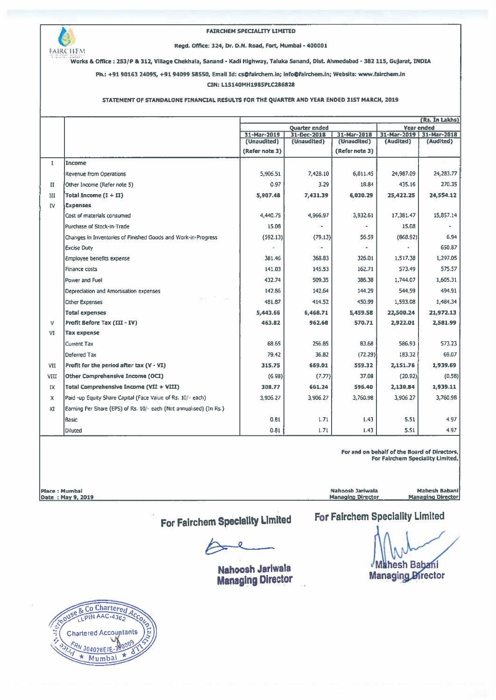

Works & Office: 253/P & 312, Village Chekhala, Sanand - Kadi Highway, Taluka Sanand, 01st. Ahmedabad - 382 115, Gujant, INDIA

Ph.: +91 90163 24095, +91 94099 58550, Email Id: cs@fairchem.in; lnfo@falrchem.in; Website: wwwsairchem.in

#### UN: L15140MH1985PLC286828

#### STATEMENT OF STANDALONE FINANCIAL RESULTS FOR ThE QUARTER AND YEAR ENDED 31ST MARCH, 2019

|              | (Rs. In Lakhs)                                                     |                |                      |                   |           |                         |  |
|--------------|--------------------------------------------------------------------|----------------|----------------------|-------------------|-----------|-------------------------|--|
|              |                                                                    |                | <b>Quarter ended</b> | <b>Year ended</b> |           |                         |  |
|              |                                                                    | 31-Mar-2019    | 31-Dec-2018          | 31-Mar-2018       |           | 31-Mar-2019 31-Mar-2018 |  |
|              |                                                                    | (Unaudited)    | (Unaudited)          | (Unaudited)       | (Audited) | (Audited)               |  |
|              |                                                                    | (Refer note 3) |                      | (Refer note 3)    |           |                         |  |
| $\mathbf{I}$ | Income                                                             |                |                      |                   |           |                         |  |
|              | Revenue from Operations                                            | 5,906.51       | 7,428.10             | 6,011.45          | 24,987.09 | 24,283.77               |  |
| $_{\rm II}$  | Other Income (Refer note 5)                                        | 0.97           | 3.29                 | 18.84             | 435.16    | 270.35                  |  |
| Ш            | Total Income $(I + II)$                                            | 5,907.48       | 7,431.39             | 6,030.29          | 25,422.25 | 24,554.12               |  |
| IV           | <b>Expenses</b>                                                    |                |                      |                   |           |                         |  |
|              | Cost of materials consumed                                         | 4,440.75       | 4,966.97             | 3,932.61          | 17,381.47 | 15,857.14               |  |
|              | Purchase of Stock-in-Trade                                         | 15.08          |                      |                   | 15.08     |                         |  |
|              | Changes in Inventories of Finished Goods and Work-in-Progress      | (592.13)       | (79.13)              | 56.59             | (668.92)  | 6.94                    |  |
|              | <b>Excise Duty</b>                                                 | $\omega$       |                      |                   |           | 650.87                  |  |
|              | Employee benefits expense                                          | 381.46         | 368.83               | 326.01            | 1.517.38  | 1,297.05                |  |
|              | Finance costs                                                      | 141.03         | 145.53               | 162.71            | 573.49    | 575.57                  |  |
|              | Power and Fuel                                                     | 432.74         | 509.35               | 386.38            | 1,744.07  | 1,605.31                |  |
|              | Depreciation and Amortisation expenses                             | 142.86         | 142.64               | 144.29            | 544.59    | 494.91                  |  |
|              | <b>Other Expenses</b>                                              | 481.87         | 414.52               | 450.99            | 1,593.08  | 1,484.34                |  |
|              | <b>Total expenses</b>                                              | 5,443.66       | 6,468.71             | 5.459.58          | 22,500.24 | 21,972.13               |  |
| v            | <b>Profit Before Tax (III - IV)</b>                                | 463.82         | 962.68               | 570.71            | 2,922.01  | 2,581.99                |  |
| VI           | <b>Tax expense</b>                                                 |                |                      |                   |           |                         |  |
|              | Current Tax                                                        | 68.65          | 256.85               | 83.68             | 586.93    | 573.23                  |  |
|              | Deferred Tax                                                       | 79.42          | 36.82                | (72.29)           | 183.32    | 69.07                   |  |
| VII          | Profit for the period after tax (V - VI)                           | 315.75         | 669.01               | 559.32            | 2,151.76  | 1,939.69                |  |
| VIII         | Other Comprehensive Income (OCI)                                   | (6.98)         | (7,77)               | 37.08             | (20.92)   | (0.58)                  |  |
| IX           | <b>Total Comprehensive Income (VII + VIII)</b>                     | 308.77         | 661.24               | 596.40            | 2,130.84  | 1,939.11                |  |
| $\mathsf{x}$ | Paid -up Equity Share Capital (Face Value of Rs. 10/- each)        | 3,906,27       | 3.906.27             | 3,760.98          | 3,906 27  | 3,760.98                |  |
| XI           | Earning Per Share (EPS) of Rs. 10/- each (Not annualised) (In Rs.) |                |                      |                   |           |                         |  |
|              | Basic                                                              | 0.81           | 1.71                 | 1.43              | 5.51      | 4.97                    |  |
|              | Diluted                                                            | 0.81           | 1.71                 | 1.43              | 5.51      | 4.97                    |  |

For and on behalf of the Board of Directors, For Fairchem Speciality Limited,

Place : Mumbai Nahoosh Jadwala Mahesh Babani Date : May 9, <sup>2019</sup> Manaoing Director Managing Director

For Fairchem Speciality Limited

Nahoosh Jariwala Managing Director

For Fairchem Speciality Limited Mahesh Babani

**Managing Director** 

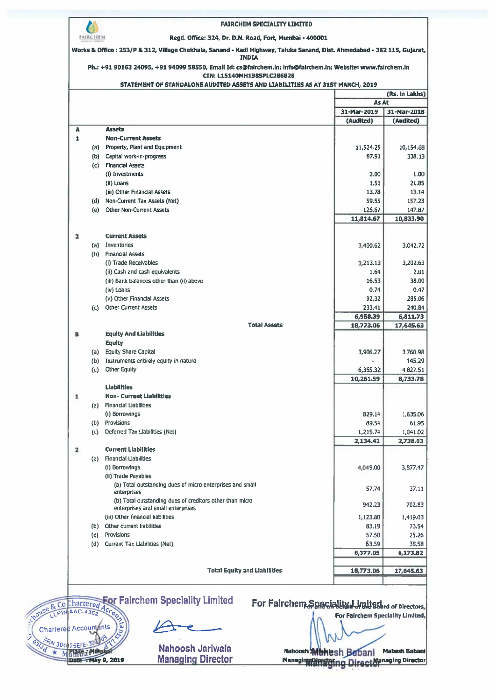|                                                                                                                                                                                                                                                         | <b>FAIRCHEM SPECIALITY LIMITED</b>                                                         |                                  |                          |  |
|---------------------------------------------------------------------------------------------------------------------------------------------------------------------------------------------------------------------------------------------------------|--------------------------------------------------------------------------------------------|----------------------------------|--------------------------|--|
| <b>FAIRCHEM</b>                                                                                                                                                                                                                                         | Regd. Office: 324, Dr. D.N. Road, Fort, Mumbai - 400001                                    |                                  |                          |  |
| Works & Office: 253/P & 312, Village Chekhala, Sanand - Kadi Highway, Taluka Sanand, Dist. Ahmedabad - 382 115, Gujarat,<br><b>INDIA</b><br>Ph.: +91 90163 24095, +91 94099 58550, Email Id: cs@fairchem.in; info@fairchem.in; Website: www.fairchem.in |                                                                                            |                                  |                          |  |
|                                                                                                                                                                                                                                                         |                                                                                            |                                  |                          |  |
|                                                                                                                                                                                                                                                         |                                                                                            | (Rs. in Lakhs)                   |                          |  |
|                                                                                                                                                                                                                                                         |                                                                                            | As At                            |                          |  |
|                                                                                                                                                                                                                                                         |                                                                                            | 31-Mar-2019<br>(Audited)         | 31-Mar-2018<br>(Audited) |  |
| A                                                                                                                                                                                                                                                       | <b>Assets</b>                                                                              |                                  |                          |  |
| $\mathbf{1}$                                                                                                                                                                                                                                            | <b>Non-Current Assets</b>                                                                  |                                  |                          |  |
|                                                                                                                                                                                                                                                         | (a) Property, Plant and Equipment                                                          | 11,524.25                        | 10,154.68                |  |
|                                                                                                                                                                                                                                                         | (b) Capital work-in-progress                                                               | 87.91                            | 338.13                   |  |
|                                                                                                                                                                                                                                                         | (c) Financial Assets<br>(i) Investments                                                    | 2.00                             | 1.00                     |  |
|                                                                                                                                                                                                                                                         | (ii) Loans                                                                                 | 1.51                             | 21.85                    |  |
|                                                                                                                                                                                                                                                         | (iii) Other Financial Assets                                                               | 13.78                            | 13.14                    |  |
|                                                                                                                                                                                                                                                         | (d) Non-Current Tax Assets (Net)                                                           | 59.55                            | 157.23                   |  |
|                                                                                                                                                                                                                                                         | (e) Other Non-Current Assets                                                               | 125.67                           | 147.87                   |  |
|                                                                                                                                                                                                                                                         |                                                                                            | 11,814.67                        | 10,833.90                |  |
|                                                                                                                                                                                                                                                         |                                                                                            |                                  |                          |  |
| $\mathbf{z}$                                                                                                                                                                                                                                            | <b>Current Assets</b>                                                                      |                                  |                          |  |
|                                                                                                                                                                                                                                                         | (a) Inventories<br>(b) Financial Assets                                                    | 3,400.62                         | 3,042.72                 |  |
|                                                                                                                                                                                                                                                         | (i) Trade Receivables                                                                      | 3,213.13                         | 3,202.63                 |  |
|                                                                                                                                                                                                                                                         | (ii) Cash and cash equivalents                                                             | 1.64                             | 2.01                     |  |
|                                                                                                                                                                                                                                                         | (iii) Bank balances other than (ii) above                                                  | 16.53                            | 38.00                    |  |
|                                                                                                                                                                                                                                                         | (iv) Loans                                                                                 | 0.74                             | 0.47                     |  |
|                                                                                                                                                                                                                                                         | (v) Other Financial Assets                                                                 | 92.32                            | 285.06                   |  |
|                                                                                                                                                                                                                                                         | (c) Other Current Assets                                                                   | 233.41                           | 240.84                   |  |
|                                                                                                                                                                                                                                                         | <b>Total Assets</b>                                                                        | 6,958.39                         | 6,811.73                 |  |
| B                                                                                                                                                                                                                                                       | <b>Equity And Liabilities</b>                                                              | 18,773.06                        | 17,645.63                |  |
|                                                                                                                                                                                                                                                         | <b>Equity</b>                                                                              |                                  |                          |  |
| (a)                                                                                                                                                                                                                                                     | <b>Equity Share Capital</b>                                                                | 3,906.27                         | 3,760.98                 |  |
| (b)                                                                                                                                                                                                                                                     | Instruments entirely equity in nature                                                      |                                  | 145.29                   |  |
| (c)                                                                                                                                                                                                                                                     | <b>Other Equity</b>                                                                        | 6,355.32                         | 4,827.51                 |  |
|                                                                                                                                                                                                                                                         |                                                                                            | 10,261.59                        | 8,733.78                 |  |
| 1                                                                                                                                                                                                                                                       | <b>Liabilities</b><br><b>Non-Current Liabilities</b>                                       |                                  |                          |  |
| (a)                                                                                                                                                                                                                                                     | <b>Financial Liabilities</b>                                                               |                                  |                          |  |
|                                                                                                                                                                                                                                                         | (i) Borrowings                                                                             | 829.14                           | 1,635.06                 |  |
| (b)                                                                                                                                                                                                                                                     | Provisions                                                                                 | 89.54                            | 61.95                    |  |
| $\left( c\right)$                                                                                                                                                                                                                                       | Deferred Tax Llabilities (Net)                                                             | 1,215.74                         | 1,041.02                 |  |
|                                                                                                                                                                                                                                                         |                                                                                            | 2,134.42                         | 2,738.03                 |  |
| $\overline{\mathbf{z}}$                                                                                                                                                                                                                                 | <b>Current Liabilities</b>                                                                 |                                  |                          |  |
| (a)                                                                                                                                                                                                                                                     | <b>Financial Llabilities</b><br>(i) Borrowings                                             | 4,049.00                         | 3,877.47                 |  |
|                                                                                                                                                                                                                                                         | (ii) Trade Payables                                                                        |                                  |                          |  |
|                                                                                                                                                                                                                                                         | (a) Total outstanding dues of micro enterprises and small                                  |                                  |                          |  |
|                                                                                                                                                                                                                                                         | enterprises                                                                                | 57.74                            | 37.11                    |  |
|                                                                                                                                                                                                                                                         | (b) Total outstanding dues of creditors other than micro                                   | 942.23                           | 702.83                   |  |
|                                                                                                                                                                                                                                                         | enterprises and small enterprises<br>(iii) Other financial liabilities                     | 1,123.80                         | 1,419.03                 |  |
| (b)                                                                                                                                                                                                                                                     | Other current liabilities                                                                  | 83.19                            | 73.54                    |  |
| $\left( c\right)$                                                                                                                                                                                                                                       | Provisions                                                                                 | 57.50                            | 25.26                    |  |
| (d)                                                                                                                                                                                                                                                     | <b>Current Tax Liabilities (Net)</b>                                                       | 63.59                            | 38.58                    |  |
|                                                                                                                                                                                                                                                         |                                                                                            | 6,377.05                         | 6,173.82                 |  |
|                                                                                                                                                                                                                                                         | <b>Total Equity and Liabilities</b>                                                        | 18,773.06                        | 17,645.63                |  |
| NOUSE & Co Chartered Account                                                                                                                                                                                                                            | <b>Eor Fairchem Speciality Limited</b><br>For Fairchem Snaciality, Limitader of Directors, | For Fairchem Speciality Limited, |                          |  |
| <b>Accountants</b>                                                                                                                                                                                                                                      | õ<br>Nahoosh Jariwala<br><b>Nahoosh</b>                                                    |                                  | <b>Mahesh Babani</b>     |  |
|                                                                                                                                                                                                                                                         | <b>Managing Director</b><br><b>Tay 9, 2019</b><br>Managin                                  | iban                             | Managing Director        |  |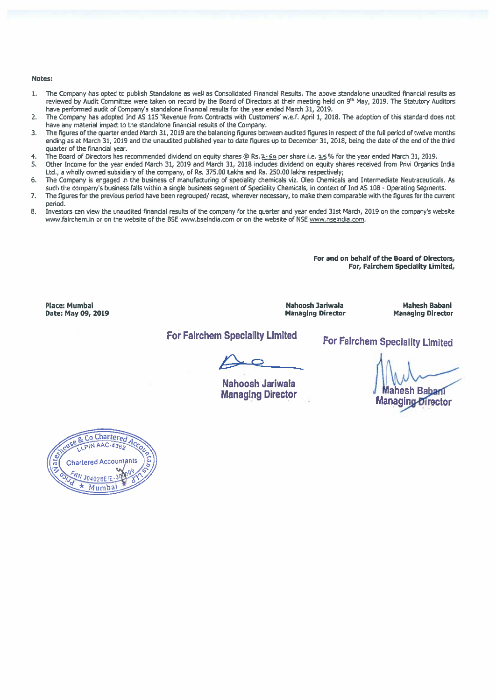#### Notes:

- 1. The Company has opted to publish Standalone as well as Consolidated Financial Results. The above standalone unaudited financial results as reviewed by Audit Committee were taken on record by the Board of Directors at their meeting held on 9<sup>th</sup> May, 2019. The Statutory Auditors have performed audit of Company's standalone financial results far the year ended March 31, 2019.
- 2. The Company has adopted md AS 115 'Revenue from Contracts with Customers' w,e.f. April 1, 2018. The adoption of this standard does not have any material impact to the standalone financial results of the Company.
- 3. The figures of the quarter ended March 31, 2019 are the balancing figures between audited figures in respec<sup>t</sup> of the full period of twelve months ending as at March 31, 2019 and the unaudited published year to date figures up to December 31, 2018, being the date of the end of the third quarter of the financial year.
- 4. The Board of Directors has recommended dividend on equity shares @ Rs. 2. 5 per share i.e. 2.5% for the year ended March 31, 2019.
- 5. Other Income for the year ended March 31, 2019 and March 31, 2018 includes dividend on equity shares received from Privi Organics India Ltd., <sup>a</sup> wholly owned subsidiary of the company, of Rs. 375.00 Lakhs and Rs. 250.00 lakhs respectively;
- 6. The Company is engaged in the business of manufacturing of speciality chemicals viz. Oleo Chemicals and Intermediate Neutraceuticals. As such the company's business falls within <sup>a</sup> single business segmen<sup>t</sup> of Speciality Chemicals, in context of md AS 108 - Operating Segments.
- 7. The figures for the previous period have been regrouped/ recast, wherever necessary, to make them comparable with the figures for the current period.
- 8. Investors can view the unaudited financial results of the company for the quarter and year ended 31st March, 2019 on the company's website www.fairchem.in or on the website of the BSE www.bseindia.com or on the website of NSE www.nseindia.com.

For and on behalf of the Board of Directors, For, Fairchem Speciality Limited,

Place: Mumbai Date: May 09, 2019 Nahoosh Jariwala Managing Director

Mahesh Babani Managing Director

### For Fairchem Speciality Limited

For Fairchem Speciality Limited

Nahoosh Jariwala Managing Director

ahesh Babani Managing-Director

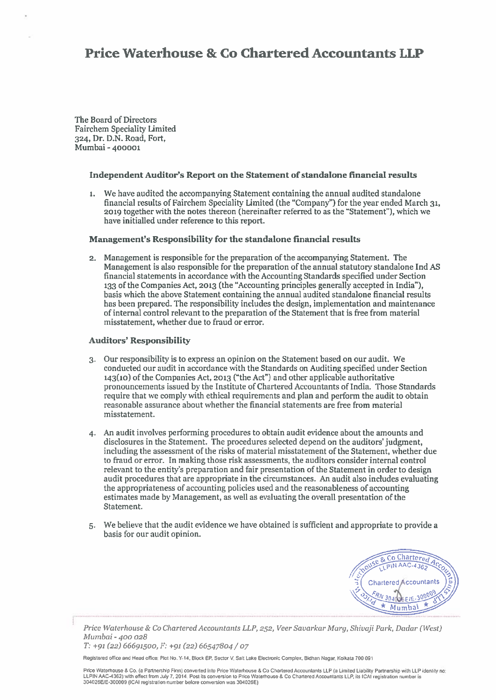The Board of Directors Fairchem Speciality Limited 324, Dr. D.N. Road, Fort, Mumbai -400001

#### Independent Auditor's Report on the Statement of standalone financial results

1. We have audited the accompanying Statement containing the annual audited standalone financial results of Fairchem Speciality Limited (the "Company") for the year ended March 31, 2019 together with the notes thereon (hereinafter referred to as the "Statement"), which we have initialled under reference to this report.

#### Management's Responsibility for the standalone financial results

2. Management is responsible for the preparation of the accompanying Statement. The Management is also responsible for the preparation of the annual statutory standalone md AS financial statements in accordance with the Accounting Standards specified under Section <sup>133</sup> of the Companies Act, <sup>2013</sup> (the "Accounting principles generally accepted in India"), basis which the above Statement containing the annual audited standalone financial results has been prepared. The responsibility includes the design, implementation and maintenance of internal control relevant to the preparation of the Statement that is free from material misstatement, whether due to fraud or error.

#### Auditors' Responsibility

- 3. Our responsibility is to express an opinion on the Statement based on our audit. We conducted our audit in accordance with the Standards on Auditing specified under Section 143(10) of the Companies Act, <sup>2013</sup> ("the Act") and other applicable authoritative pronouncements issued by the Institute of Chartered Accountants of India. Those Standards require that we comply with ethical requirements and plan and perform the audit to obtain reasonable assurance about whether the financial statements are free from material misstatement.
- 4. An audit involves performing procedures to obtain audit evidence about the amounts and disclosures in the Statement. The procedures selected depend on the auditors' judgment, including the assessment of the risks of material misstatement of the Statement, whether due to fraud or error. In making those risk assessments, the auditors consider internal control relevant to the entity's preparation and fair presentation of the Statement in order to design audit procedures that are appropriate in the circumstances. An audit also includes evaluating the appropriateness of accounting policies used and the reasonableness of accounting estimates made by Management, as well as evaluating the overall presentation of the Statement.
- 5. We believe that the audit evidence we have obtained is sufficient and appropriate to provide <sup>a</sup> basis for our audit opinion.



Price Waterhouse & Co Chartered Accountants LLP, 252, Veer Savarkar Marg, Shivaji Park, Dadar (West) Mumbai - 400 028

T: +91 (22) 66691500, F: +91 (22) 66547804 / <sup>07</sup>

Registered office and Head office: Plot No. Y-14, Block ER Sector V. Salt Lake Electronic Complex, Bidhsn Nagar. Kolksla 700 091

Price Waterhouse & Co. (a Partnership Firm) convened Into Price Waterhouse & Co Chartered Accountants LLP (a Limited Liability Partnership with LLP identity no: LLPIN A4C4362l with effect from July 7, 2014. Post its conversion to Price Wsterhouse & Co Chsdered Accountants LLR its ICAI registration number is 304026E/E-300009 (ICAI registration number before conversion was 304026E)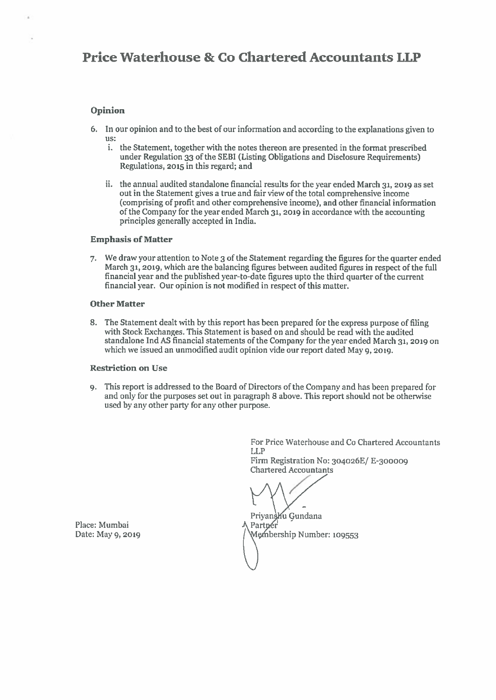#### Opinion

- 6. In our opinion and to the best of our information and according to the explanations given to us:
	- i. the Statement, together with the notes thereon are presented in the format prescribed under Regulation 33 of the SEBI (Listing Obligations and Disclosure Requirements) Regulations, <sup>2015</sup> in this regard; and
	- ii. the annual audited standalone financial results for the year ended March 31, <sup>2019</sup> as set out in the Statement gives <sup>a</sup> true and fair view of the total comprehensive income (comprising of profit and other comprehensive income), and other financial information of the Company for the year ended March 31, <sup>2019</sup> in accordance with the accounting principles generally accepted in India.

#### Emphasis of Matter

7. We draw your attention to Note 3 of the Statement regarding the figures for the quarter ended March 31, 2019, which are the balancing figures between audited figures in respect of the full financial year and the published year-to-date figures upto the third quarter of the current financial year. Our opinion is not modified in respec<sup>t</sup> of this matter.

#### Other Matter

8. The Statement dealt with by this repor<sup>t</sup> has been prepare<sup>d</sup> for the express purpose of filing with Stock Exchanges. This Statement is based on and should be read with the audited standalone Ind AS financial statements of the Company for the year ended March 31, <sup>2019</sup> on which we issued an unmodified audit opinion vide our repor<sup>t</sup> dated May 9, 2019.

#### Restriction on Use

9. This repor<sup>t</sup> is addressed to the Board of Directors of the Company and has been prepared for and only for the purposes set out in paragrap<sup>h</sup> <sup>8</sup> above. This repor<sup>t</sup> should not be otherwise used by any other party for any other purpose.

> For Price Waterhouse and Co Chartered Accountants LLP Firm Registration No: 304026E/ E-300009 Chartered Accountants

Privansku Gundana Partner Membership Number: 109553

Place: Mumbai Date: May 9, <sup>2019</sup>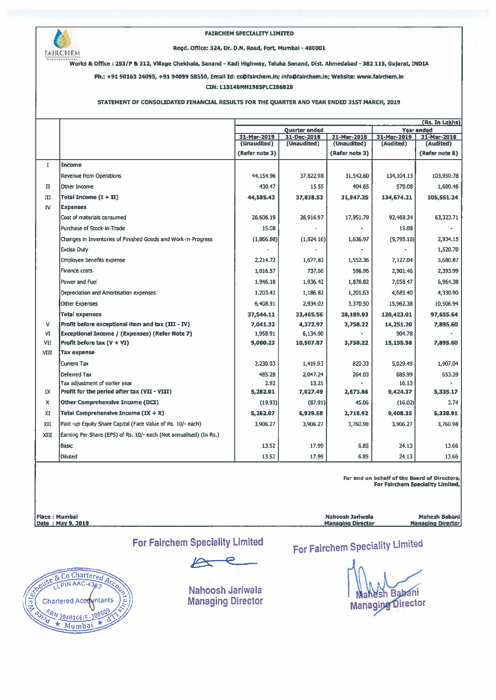

#### FAIRCHEM SPECIALITY LIMITED

Regd. Office: 324, Dr. D.N. Road, Fort, Mumbai - 400001

works & Office : 253/P & 312, Village Chekhala, Sanand - Kadi Highway, Taluka Sanand, Dist. Ahmedabad - 382 115, Gujarat, INDIA

Ph.: +91 90163 24095, +91 94099 58550, Email Id: cs@fairchem.in; info@fairchem.in; Website: www.fairchem.in

#### CIN: L15140MH1985PLC286828

#### STATEMENT OF CONSOLIDATED FINANCIAL RESULTS FOR THE QUARTER AND YEAR ENDED 31ST MARCH, 2019

|              |                                                                    | (Rs. In Lakhs)                            |                            |                            |                          |                          |
|--------------|--------------------------------------------------------------------|-------------------------------------------|----------------------------|----------------------------|--------------------------|--------------------------|
|              |                                                                    | <b>Year ended</b><br><b>Quarter ended</b> |                            |                            |                          |                          |
|              |                                                                    | 31-Mar-2019<br>(Unaudited)                | 31-Dec-2018<br>(Unaudited) | 31-Mar-2018<br>(Unaudited) | 31-Mar-2019<br>(Audited) | 31-Mar-2018<br>(Audited) |
|              |                                                                    | (Refer note 3)                            |                            | (Refer note 3)             |                          | (Refer note 8)           |
| $\mathbf{I}$ | Income                                                             |                                           |                            |                            |                          |                          |
|              | <b>Revenue from Operations</b>                                     | 44,154.96                                 | 37,822.98                  | 31.542.60                  | 134, 104. 13             | 103,950.78               |
| $_{\rm II}$  | Other Income                                                       | 430.47                                    | 15.55                      | 404.65                     | 570.08                   | 1,600.46                 |
| III          | Total Income $(1 + II)$                                            | 44,585.43                                 | 37,838.53                  | 31,947.25                  | 134,674.21               | 105,551.24               |
| IV           | <b>Expenses</b>                                                    |                                           |                            |                            |                          |                          |
|              | Cost of materials consumed                                         | 26,606.19                                 | 26,916.97                  | 17,951.79                  | 92,468.34                | 63,323.71                |
|              | Purchase of Stock-in-Trade                                         | 15.08                                     |                            |                            | 15.08                    |                          |
|              | Changes in Inventories of Finished Goods and Work-In-Progress      | (1,866.88)                                | (1,924,16)                 | 1,636.97                   | (9,795.16)               | 2,934.15                 |
|              | <b>Excise Duty</b>                                                 |                                           |                            |                            |                          | 1,520.70                 |
|              | Employee benefits expense                                          | 2.214.72                                  | 1.677.82                   | 1,552.36                   | 7,127.04                 | 5,680.87                 |
|              | <b>Finance costs</b>                                               | 1,016.57                                  | 737.66                     | 596.96                     | 2,901.46                 | 2,393.99                 |
|              | Power and Fuel                                                     | 1,946.10                                  | 1.936.42                   | 1,878.82                   | 7,058.47                 | 6,964.38                 |
|              | Depreciation and Amortisation expenses                             | 1,203.42                                  | 1,186.82                   | 1,201.63                   | 4,685.40                 | 4,330.90                 |
|              | <b>Other Expenses</b>                                              | 6.408.91                                  | 2,934.03                   | 3,370.50                   | 15,962.38                | 10,506.94                |
|              | Total expenses                                                     | 37,544.11                                 | 33,465.56                  | 28,189.03                  | 120,423.01               | 97.655.64                |
| v            | Profit before exceptional item and tax (III - IV)                  | 7,041.32                                  | 4,372.97                   | 3,758.22                   | 14,251.20                | 7,895.60                 |
| ٧I           | Exceptional Income / (Expenses) (Refer Note 7)                     | 1,958.91                                  | 6,134.90                   |                            | 904.78                   |                          |
| VII          | Profit before tax $(V + VI)$                                       | 9,000.23                                  | 10,507.87                  | 3,758.22                   | 15,155.98                | 7.895.60                 |
| VIII         | <b>Tax expense</b>                                                 |                                           |                            |                            |                          |                          |
|              | <b>Current Tax</b>                                                 | 3,230.03                                  | 1.419.93                   | 820.33                     | 5,029.49                 | 1,907.04                 |
|              | Deferred Tax                                                       | 485.28                                    | 2.047.24                   | 264.03                     | 685.99                   | 653.39                   |
|              | Tax adjustment of earlier year                                     | 2.92                                      | 13.21                      |                            | 16.13                    |                          |
| IX.          | Profit for the period after tax (VII - VIII)                       | 5,282.01                                  | 7,027.49                   | 2,673.86                   | 9,424.37                 | 5,335.17                 |
| x            | Other Comprehensive Income (OCI)                                   | (19.93)                                   | (87.91)                    | 45.06                      | (16.02)                  | 3.74                     |
| XI           | Total Comprehensive Income $(IX + X)$                              | 5,262.07                                  | 6,939.58                   | 2,718.92                   | 9,408.35                 | 5,338.91                 |
| XII          | Paid -up Equity Share Capital (Face Value of Rs. 10/- each)        | 3,906.27                                  | 3,906.27                   | 3,760.98                   | 3,906.27                 | 3,760.98                 |
| XIII         | Earning Per Share (EPS) of Rs. 10/- each (Not annualised) (In Rs.) |                                           |                            |                            |                          |                          |
|              | <b>Basic</b>                                                       | 13.52                                     | 17.99                      | 6.85                       | 24.13                    | 13.66                    |
|              | <b>Diluted</b>                                                     | 13.52                                     | 17.99                      | 6.85                       | 24.13                    | 13.66                    |

For and on behalf of the Board of Directors, For Fairchem SpecialIty Limited,

Place : Mumbal Nahoosh Jariwaia Mahesh Babanl

Date : May 9, 2019 **Managing Director** Managing Director Managing Director Managing Director

For Fairchem Speciality Limited



Nahoosh Jariwala Managing Director For Fairchem Speciality Limited

h Babani **Managing Director**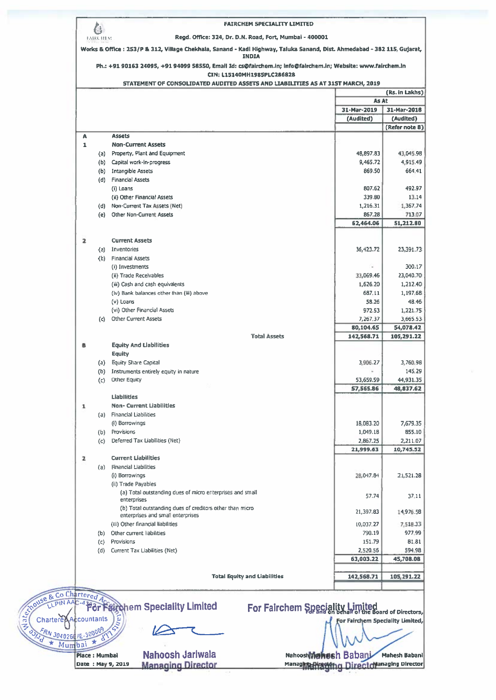|                     | CIN: L15140MH1985PLC286828<br>STATEMENT OF CONSOLIDATED AUDITED ASSETS AND LIABILITIES AS AT 31ST MARCH, 2019 |                                  |                             |
|---------------------|---------------------------------------------------------------------------------------------------------------|----------------------------------|-----------------------------|
|                     |                                                                                                               |                                  | (Rs. in Lakhs)              |
|                     |                                                                                                               | <b>As At</b>                     |                             |
|                     |                                                                                                               | 31-Mar-2019                      | 31-Mar-2018                 |
|                     |                                                                                                               | (Audited)                        | (Audited)<br>(Refer note 8) |
| A                   | <b>Assets</b>                                                                                                 |                                  |                             |
| $\mathbf{1}$        | <b>Non-Current Assets</b>                                                                                     |                                  |                             |
|                     | (a) Property, Plant and Equipment                                                                             | 48,897.83                        | 43.045.98                   |
|                     | (b) Capital work-in-progress                                                                                  | 9,465,72                         | 4,915.49                    |
|                     | (b) Intangible Assets                                                                                         | 869.50                           | 664.41                      |
|                     | (d) Financial Assets                                                                                          |                                  |                             |
|                     | (i) Loans                                                                                                     | 807.62                           | 492.97                      |
|                     | (ii) Other Financial Assets                                                                                   | 339.80                           | 13.14                       |
|                     | (d) Non-Current Tax Assets (Net)<br><b>Other Non-Current Assets</b>                                           | 1,216.31<br>867.28               | 1,367.74<br>713.07          |
| (e)                 |                                                                                                               | 62,464.06                        | 51,212.80                   |
|                     |                                                                                                               |                                  |                             |
| 2                   | <b>Current Assets</b>                                                                                         |                                  |                             |
|                     | (a) Inventories                                                                                               | 36,423.72                        | 23,391.73                   |
|                     | (b) Financial Assets                                                                                          |                                  |                             |
|                     | (i) Investments                                                                                               |                                  | 300.17                      |
|                     | (ii) Trade Receivables                                                                                        | 33,069.46                        | 23,040.70                   |
|                     | (iii) Cash and cash equivalents                                                                               | 1,626.20<br>687-11               | 1,212.40                    |
|                     | (iv) Bank balances other than (iii) above<br>(v) Loans                                                        | 58.26                            | 1,197,68<br>48.46           |
|                     | (vi) Other Financial Assets                                                                                   | 972.53                           | 1,221.75                    |
|                     | (c) Other Current Assets                                                                                      | 7,267.37                         | 3,665.53                    |
|                     |                                                                                                               | 80,104.65                        | 54,078.42                   |
|                     | <b>Total Assets</b>                                                                                           | 142,568.71                       | 105,291.22                  |
| в                   | <b>Equity And Liabilities</b>                                                                                 |                                  |                             |
|                     | Equity                                                                                                        |                                  |                             |
|                     | (a) Equity Share Capital                                                                                      | 3,906.27                         | 3,760.98<br>145.29          |
|                     | (b) Instruments entirely equity in nature<br>(c) Other Equity                                                 | 53,659.59                        | 44.931.35                   |
|                     |                                                                                                               | 57,565.86                        | 48,837.62                   |
|                     | <b>Liabilities</b>                                                                                            |                                  |                             |
| 1                   | <b>Non- Current Liabilities</b>                                                                               |                                  |                             |
|                     | (a) Financial Liabilities                                                                                     |                                  |                             |
|                     | (i) Borrowings                                                                                                | 18,083.20                        | 7,679.35                    |
| (b)                 | <b>Provisions</b>                                                                                             | 1.049.18                         | 855.10                      |
| (c)                 | Deferred Tax Liabilities (Net)                                                                                | 2,867.25                         | 2.211.07                    |
|                     | <b>Current Liabilities</b>                                                                                    | 21,999.63                        | 10,745.52                   |
|                     | <b>Financial Liabilities</b>                                                                                  |                                  |                             |
| $\mathbf{z}$<br>(a) | (i) Borrowings                                                                                                | 28,047.84                        | 21,521.28                   |
|                     |                                                                                                               |                                  |                             |
|                     | (ii) Trade Payables                                                                                           |                                  | 37.11                       |
|                     | (a) Total outstanding dues of micro enterprises and small                                                     | 57.74                            |                             |
|                     | enterprises                                                                                                   |                                  |                             |
|                     | (b) Total outstanding dues of creditors other than micro<br>enterprises and small enterprises                 | 21,397.83                        | 14,976.58                   |
|                     | (iii) Other financial liabilities                                                                             | 10,037.27                        |                             |
|                     | (b) Other current liabilities                                                                                 | 790.19                           | 7,518.33<br>977.99          |
|                     | (c) Provisions                                                                                                | 151.79                           |                             |
| (d)                 | Current Tax Liabilities (Net)                                                                                 | 2,520.56                         | 81.81<br>594.98             |
|                     |                                                                                                               | 63,003.22                        | 45,708.08                   |
|                     |                                                                                                               |                                  |                             |
|                     | <b>Total Equity and Liabilities</b>                                                                           | 142,568.71                       |                             |
|                     |                                                                                                               |                                  |                             |
| o Chartered         |                                                                                                               |                                  | 105,291.22                  |
|                     | IN AAC-4 For Fairchem Speciality Limited<br>For Fairchem Speciality Limited                                   |                                  |                             |
| Accountants         | ξ                                                                                                             | For Fairchem Speciality Limited, |                             |
| 24026 IE-300009     |                                                                                                               |                                  |                             |

Nahoosh Jariwala Date : May 9, 2019 — Managing Director Managhta Pysylon n Direct chlanaging Director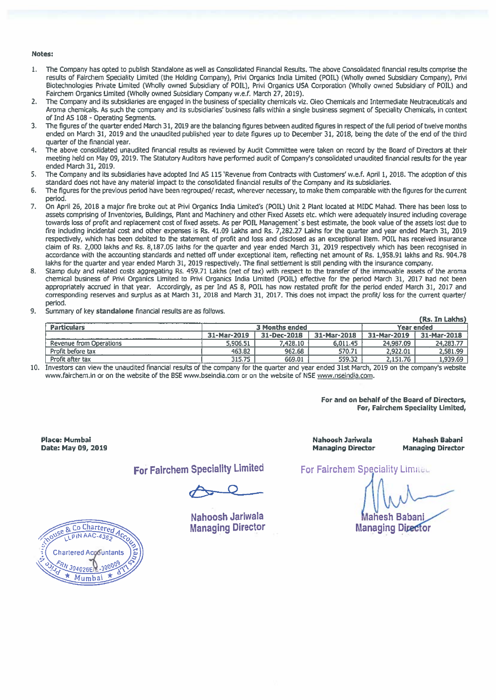#### Notes:

- 1. The Company has opted to publish Standalone as well as Consolidated Financial Results. The above Consolidated financial results comprise the results of Fairchem Speciality Limited (the Holding Company), Privi Organics India Limited (POIL) (Wholly owned Subsidiary Company), Privi Biotechnologies Private Limited (Wholly owned Subsidiary of POlL), Privi Organics USA Corporation (Wholly owned Subsidiary of POlL) and Fairchem Organics Limited (Wholly owned Subsidiary Company w.e,f. March 27, 2019).
- 2. The Company and its subsidiaries are engaged in the business of speciality chemicals viz. Oieo Chemicals and Intermediate Neutraceuticals and Aroma chemicals. As such the company and its subsidiaries' business falls within <sup>a</sup> single business segmen<sup>t</sup> of Speciality Chemicals, in context of md AS 108 - Operating Segments.
- 3. The figures of the quarter ended March 31, 2019 are the balancing figures between audited figures in respec<sup>t</sup> of the full period of twelve months ended on March 31, 2019 and the unaudited published year to date figures up to December 31, 2018, being the date of the end of the third quarter of the financial year.
- 4. The above consolidated unaudited financial results as reviewed by Audit Committee were taken on record by the Board of Directors at their meeting held on May 09, 2019. The Statutory Auditors have performed audit of Company's consolidated unaudited financial results for the year ended March 31, 2019.
- 5. The Company and its subsidiaries have adopted Ind AS 115 'Revenue from Contracts with Customers' w.e.f. April 1, 2018. The adoption of this standard does not have any material impact to the consolidated financial results of the Company and its subsidiaries.
- 6. The figures for the previous period have been regrouped/ recast, wherever necessary, to make them comparable with the figures for the current period.
- 7. On April 26, 2018 <sup>a</sup> major fire broke out at Privi Organics India Limited's (POlL) Unit 2 Plant located at MIDC Mahad. There has been loss to assets comprising of Inventories, Buildings, Plant and Machinery and other Fixed Assets etc. which were adequately insured including coverage towards loss of profit and replacement cost of fixed assets. As per POIL Management's best estimate, the book value of the assets lost due to fire including incidental cost and other expenses is Rs. 41.09 Lakhs and Rs. 7,282.27 Lakhs for the quarter and year ended March 31, 2019 respectively, which has been debited to the statement of profit and loss and disclosed as an exceptional Item. POlL has received insurance claim of Rs. 2,000 lakhs and Rs. 8,187.05 lakhs for the quarter and year ended March 31, 2019 respectively which has been recognised in accordance with the accounting standards and netted off under exceptional item, reflecting net amount of Rs. 1,958.91 lakhs and Rs. 904.78 lakhs for the quarter and year ended March 31, 2019 respectively. The final settlement is still pending with the insurance company.
- 8. Stamp duty and related costs aggregating Rs. 459.71 Lakhs (net of tax) with respec<sup>t</sup> to the transfer of the immovable assets of the aroma chemical business of Privi Organics Limited to Privi Organics India Limited (POlL) effective for the period March 31, 2017 had not been appropriately accrued in that year. Accordingly, as per Ind AS 8, POIL has now restated profit for the period ended March 31, 2017 and corresponding reserves and surplus as at March 31, 2018 and March 31, 2017. This does not impact the profit/ loss for the current quarter/ period.
- 9. Summary of key standalone financial results are as follows.

|                         |                                     |             |             |             | (Rs. In Lakhs) |
|-------------------------|-------------------------------------|-------------|-------------|-------------|----------------|
| <b>Particulars</b>      | <b>3 Months ended</b><br>Year ended |             |             |             |                |
|                         | 31-Mar-2019                         | 31-Dec-2018 | 31-Mar-2018 | 31-Mar-2019 | 31-Mar-2018    |
| Revenue from Operations | 5,906.51                            | 7,428.10    | 6.011.45    | 24.987.09   | 24,283.77      |
| Profit before tax       | 463.82                              | 962.68      | 570.71      | 2.922.01    | 2.581.99       |
| Profit after tax        | 315.75                              | 669.01      | 559.32      | 2,151.76    | 1,939.69       |

Investors can view the unaudited financial results of the company for the quarter and year ended 31st March, 2019 on the company's website 10. www.fairchem.in or on the website of the OSE www.bseindia.com or on the website of NSE www.nseindia.com.

> For and on behalf of the Board of Directors, For, Fairchem Speciality Limited,

Nahoosh Jariwala ahesh Babani Managing Director

Place: Mumbal Nahoosh Jañwala Mahesh Babani Date: May 09, 2019 Managing Director Managing Director

For Fairchem Speciality Limited For Fairchem Speciality Limited

**Managing Director** 

& Co Chartered PIN AAC-436-**Chartered Accountants** 304026F Mumbai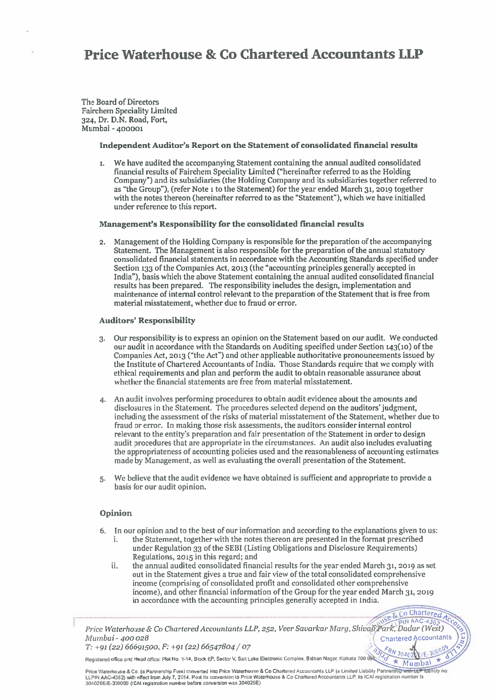The Board of Directors Fairchem Speciality Limited 324, Dr. D.N. Road, Fort, Mumbai -400001

#### Independent Auditor's Report on the Statement of consolidated financial results

1. We have audited the accompanying Statement containing the annual audited consolidated financial results of Fairchem Speciality Limited ("hereinafter referred to as the Holding Company") and its subsidiaries (the Holding Company and its subsidiaries together referred to as "the Group"), (refer Note <sup>i</sup> to the Statement) for the year ended March 31, <sup>2019</sup> together with the notes thereon (hereinafter referred to as the "Statement"), which we have initialled under reference to this report.

#### Management's Rcsponsibility for the consolidated financial results

2. Management of the Holding Company is responsible for the preparation of the accompanying Statement. The Management is also responsible for the preparation of the annual statutory consolidated financial statements in accordance with the Accounting Standards specified under Section <sup>133</sup> of the Companies Act, <sup>2013</sup> (the "accounting principles generally accepted in India"), basis which the above Statement containing the annual audited consolidated financial results has heen prepared. The responsibility includes the design, implementation and maintenance of internal control relevant to the preparation of the Statement that is free from material misstatement, whether due to fraud or error.

#### Auditors' Responsibility

- 3. Our responsibility is to express an opinion on the Statement based on our audit. We conducted our audit in accordance with the Standards on Auditing specified under Section 143(10) of the Companies Act, <sup>2013</sup> ("the Act") and other applicable authoritative pronouncements issued by the Institute of Chartered Accountants of India. Those Standards require that we comply with ethical requirements and plan and perform the audit to obtain reasonable assurance about whether the financial statements are free from material misstatement.
- 4. An audit involves performing procedures to obtain audit evidence about the amounts and disclosures in the Statement. The procedures selected depend on the auditors' judgment, including the assessment of the risks of material misstatement of the Statement, whether due to fraud or error. In making those risk assessments, the auditors consider internal control relevant to the entity's preparation and fair presentation of the Statement in order to design audit procedures that are appropriate in the circumstances. An audit also includes evaluating the appropriateness of accounting policies used and the reasonableness of accounting estimates made by Management, as well as evaluating the overall presentation of the Statement.
- 5. We believe that the audit evidence we have obtained is sufficient and appropriate to provide <sup>a</sup> basis for our audit opinion.

#### Opinion

- 6. In our opinion and to the best of our information and according to the explanations given to us: i. the Statement, together with the notes thereon are presented in the format prescribed
	- under Regulation 33 of the SEBI (Listing Obligations and Disclosure Requirements) Regulations, <sup>2015</sup> in this regard; and
	- ii. the annual audited consolidated financial results for the year ended March 31, <sup>2019</sup> as set out in the Statement gives <sup>a</sup> true and fair view of the total consolidated comprehensive income (comprising of consolidated profit and consolidated other comprehensive income), and other financial information of the Group for the year ended March 31, 2019 in accordance with the accounting principles generally accepted in India.

Price Waterhouse & Co Chartered Accountants LLP, 252, Veer Savarkar Marg, Shivaji Park, Dadar (West) Mumbai -400028 -• Chartered ACCountants

 $T: +91 (22) 66691500, F: +91 (22) 66547804 / 07$ Registered office and Head office: Plot No. Y-14, Block EP, Sector V, Salt Lake Electronic Complex, Bidhan Nagar. Kolkata 700 0 \\ (V)

Price Waterhouse & Co. (a Partnership Firm) converted into Price Waterhouse & Co Chartered Accountants LLP (a Limited Liability Partnership with LLP foentity no: LLPIN AAC-4352) with effect from July 7, 2014. Post its conversion to Price Waterhouse & Co Chartered Accountants LLP, its ICAI registration number is 304026E1E-300009 (ICAI registration number before conversion was 304026E)

IE

Mumbai \*

USC & Co Chartered Ac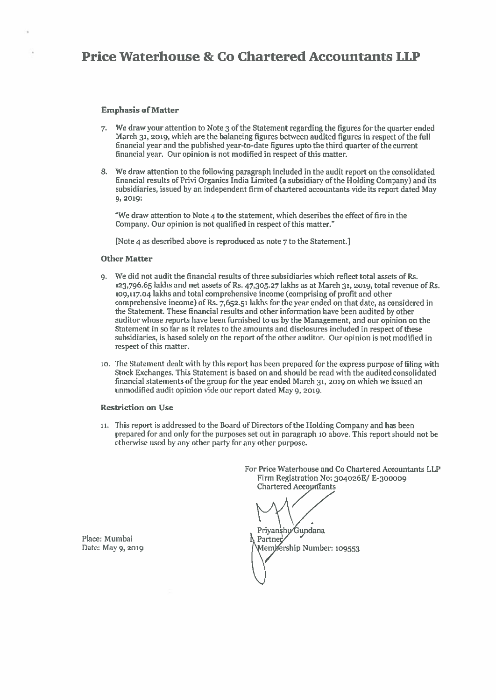#### Emphasis of Maftcr

- 7. We draw your attention to Note 3 of the Statement regarding the figures for the quarter ended March 31, 2019, which are the balancing figures between audited figures in respec<sup>t</sup> of the full financial year and the published year-to-date figures upto the third quarter of the current financial year. Our opinion is not modified in respec<sup>t</sup> of this matter.
- 8. We draw attention to the following paragraph included in the audit repor<sup>t</sup> on the consolidated financial results of Privi Organics India Limited (a subsidiary of the Holding Company) and its subsidiaries, issued by an independent firm of chartered accountants wide its repor<sup>t</sup> dated May 9,2019:

"We draw attention to Note 4 to the statement, which describes the effect of fire in the Company. Our opinion is not qualified in respec<sup>t</sup> of this matter."

[Note 4 as described above is reproduced as note 7 to the Statement.]

#### Other Matter

- 9. We did not audit the financial results of three subsidiaries which reflect total assets of Rs. 123,796.65 lakhs and net assets of Rs. 47,305.27 lakhs as at March 31, 2019, total revenue of Rs. 109,117.04 lakhs and total comprehensive income (comprising of profit and other comprehensive income) of Rs. 7,652.51 lakhs for the year ended on that date, as considered in the Statement. These financial results and other information have been audited by other auditor whose reports have been furnished to us by the Management, and our opinion on the Statement in so far as it relates to the amounts and disclosures included in respec<sup>t</sup> of these subsidiaries, is based solely on the repor<sup>t</sup> of the other auditor. Our opinion is not modified in respec<sup>t</sup> of this matter.
- to. The Statement dealt with by this repor<sup>t</sup> has been prepared for the express purpose of filing with Stock Exchanges. This Statement is based on and should be read with the audited consolidated financial statements of the group for the year ended March 31, <sup>2019</sup> on which we issued an unmodified audit opinion vide our report dated May 9, 2019.

#### **Restriction on Use**

it. This repor<sup>t</sup> is addressed to the Board of Directors of the Holding Company and has been prepared for and only for the purposes set out in paragraph to above. This repor<sup>t</sup> should not be otherwise used by any other party for any other purpose.

> For Price Waterhouse and Co Chartered Accountants LU' Firm Registration No: 3o4026E/ E-300009 Chartered Accountants

Priyanshy Gundana Partner rship Number: <sup>109553</sup>

Place: Mumbai Date: May 9, 2019